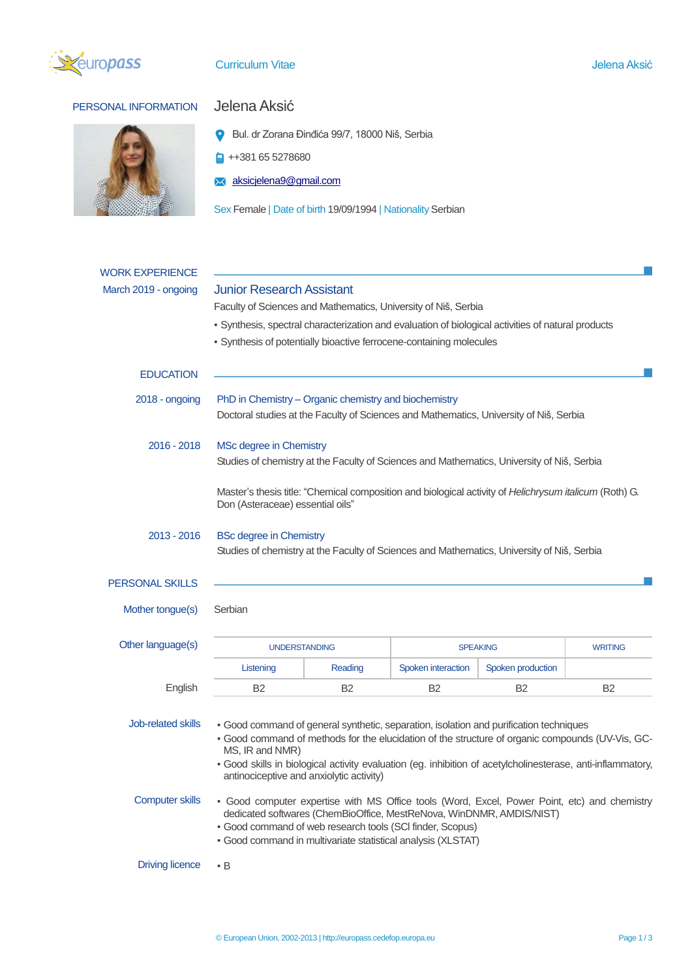

# **Curriculum Vitae Aksić Curriculum Vitae Aksić**

# PERSONAL INFORMATION Jelena Aksić



Bul. dr Zorana Đinđića 99/7, 18000 Niš, Serbia

 $\frac{1}{4}$  ++381 65 5278680

[aksicjelena9@gmail.com](mailto:aksicjelena9@gmail.com)

Sex Female | Date of birth 19/09/1994 | Nationality Serbian

| <b>WORK EXPERIENCE</b>                              |                                                                                                                                                                                                                                                                                                                                                                                                                                                                                                                                                  |                |                    |                   |                |
|-----------------------------------------------------|--------------------------------------------------------------------------------------------------------------------------------------------------------------------------------------------------------------------------------------------------------------------------------------------------------------------------------------------------------------------------------------------------------------------------------------------------------------------------------------------------------------------------------------------------|----------------|--------------------|-------------------|----------------|
| March 2019 - ongoing                                | <b>Junior Research Assistant</b><br>Faculty of Sciences and Mathematics, University of Niš, Serbia                                                                                                                                                                                                                                                                                                                                                                                                                                               |                |                    |                   |                |
|                                                     |                                                                                                                                                                                                                                                                                                                                                                                                                                                                                                                                                  |                |                    |                   |                |
|                                                     | - Synthesis, spectral characterization and evaluation of biological activities of natural products                                                                                                                                                                                                                                                                                                                                                                                                                                               |                |                    |                   |                |
|                                                     | - Synthesis of potentially bioactive ferrocene-containing molecules                                                                                                                                                                                                                                                                                                                                                                                                                                                                              |                |                    |                   |                |
| <b>EDUCATION</b>                                    |                                                                                                                                                                                                                                                                                                                                                                                                                                                                                                                                                  |                |                    |                   |                |
| $2018 -$ ongoing                                    | PhD in Chemistry – Organic chemistry and biochemistry                                                                                                                                                                                                                                                                                                                                                                                                                                                                                            |                |                    |                   |                |
|                                                     | Doctoral studies at the Faculty of Sciences and Mathematics, University of Niš, Serbia                                                                                                                                                                                                                                                                                                                                                                                                                                                           |                |                    |                   |                |
| $2016 - 2018$                                       | MSc degree in Chemistry                                                                                                                                                                                                                                                                                                                                                                                                                                                                                                                          |                |                    |                   |                |
|                                                     | Studies of chemistry at the Faculty of Sciences and Mathematics, University of Niš, Serbia                                                                                                                                                                                                                                                                                                                                                                                                                                                       |                |                    |                   |                |
|                                                     | Master's thesis title: "Chemical composition and biological activity of Helichrysum italicum (Roth) G.<br>Don (Asteraceae) essential oils"                                                                                                                                                                                                                                                                                                                                                                                                       |                |                    |                   |                |
| $2013 - 2016$                                       | <b>BSc degree in Chemistry</b>                                                                                                                                                                                                                                                                                                                                                                                                                                                                                                                   |                |                    |                   |                |
|                                                     | Studies of chemistry at the Faculty of Sciences and Mathematics, University of Niš, Serbia                                                                                                                                                                                                                                                                                                                                                                                                                                                       |                |                    |                   |                |
| <b>PERSONAL SKILLS</b>                              |                                                                                                                                                                                                                                                                                                                                                                                                                                                                                                                                                  |                |                    |                   |                |
|                                                     |                                                                                                                                                                                                                                                                                                                                                                                                                                                                                                                                                  |                |                    |                   |                |
| Mother tongue(s)                                    | Serbian                                                                                                                                                                                                                                                                                                                                                                                                                                                                                                                                          |                |                    |                   |                |
| Other language(s)                                   | <b>UNDERSTANDING</b>                                                                                                                                                                                                                                                                                                                                                                                                                                                                                                                             |                | <b>SPEAKING</b>    |                   | <b>WRITING</b> |
|                                                     | Listening                                                                                                                                                                                                                                                                                                                                                                                                                                                                                                                                        | Reading        | Spoken interaction | Spoken production |                |
| English                                             | B <sub>2</sub>                                                                                                                                                                                                                                                                                                                                                                                                                                                                                                                                   | B <sub>2</sub> | <b>B2</b>          | B <sub>2</sub>    | B <sub>2</sub> |
| <b>Job-related skills</b><br><b>Computer skills</b> | · Good command of general synthetic, separation, isolation and purification techniques<br>- Good command of methods for the elucidation of the structure of organic compounds (UV-Vis, GC-<br>MS, IR and NMR)<br>- Good skills in biological activity evaluation (eg. inhibition of acetylcholinesterase, anti-inflammatory,<br>antinociceptive and anxiolytic activity)<br>- Good computer expertise with MS Office tools (Word, Excel, Power Point, etc) and chemistry<br>dedicated softwares (ChemBioOffice, MestReNova, WinDNMR, AMDIS/NIST) |                |                    |                   |                |
| <b>Driving licence</b>                              | · Good command of web research tools (SCI finder, Scopus)<br>· Good command in multivariate statistical analysis (XLSTAT)<br>$\cdot$ B                                                                                                                                                                                                                                                                                                                                                                                                           |                |                    |                   |                |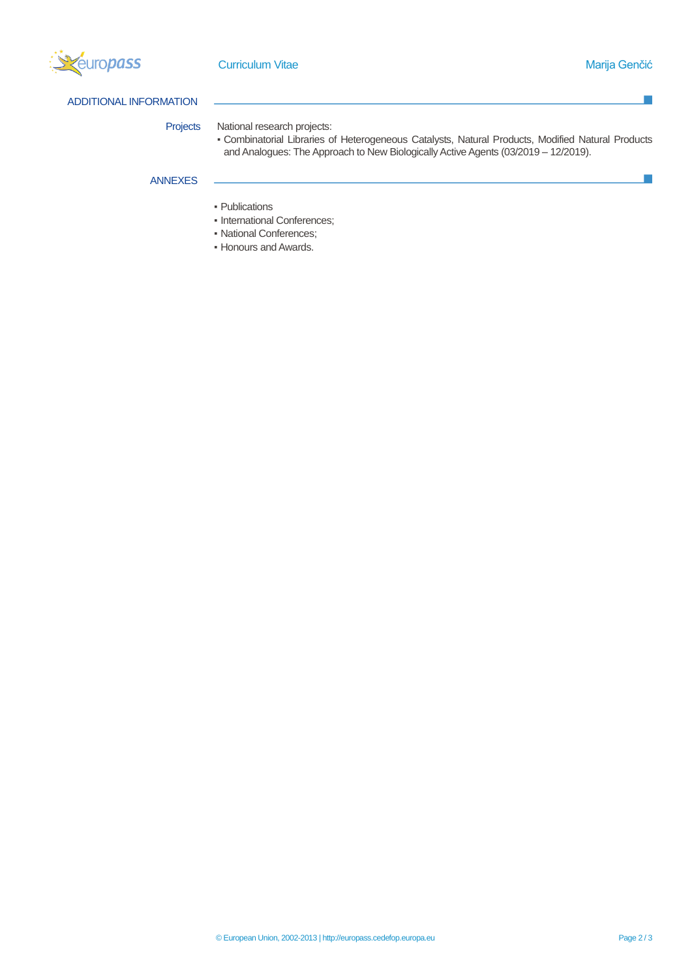

F.

P.

# ADDITIONAL INFORMATION

## Projects National research projects:

▪ Combinatorial Libraries of Heterogeneous Catalysts, Natural Products, Modified Natural Products and Analogues: The Approach to New Biologically Active Agents (03/2019 – 12/2019).

# ANNEXES

- Publications
- International Conferences;
- National Conferences;
- Honours and Awards.